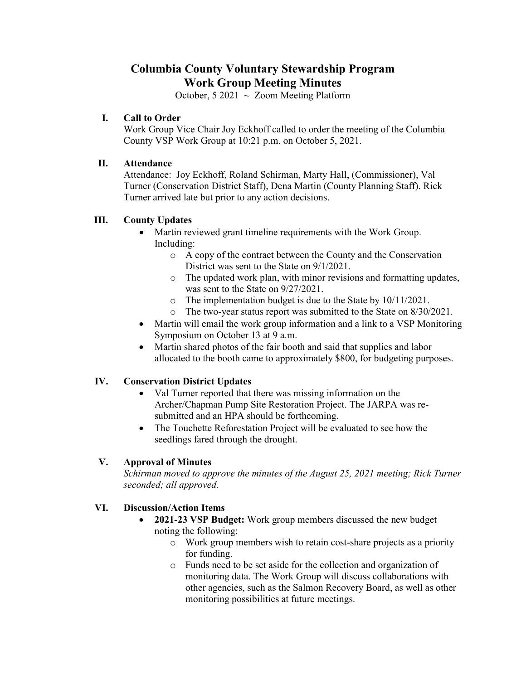# **Columbia County Voluntary Stewardship Program Work Group Meeting Minutes**

October, 5 2021  $\sim$  Zoom Meeting Platform

### **I. Call to Order**

Work Group Vice Chair Joy Eckhoff called to order the meeting of the Columbia County VSP Work Group at 10:21 p.m. on October 5, 2021.

#### **II. Attendance**

Attendance: Joy Eckhoff, Roland Schirman, Marty Hall, (Commissioner), Val Turner (Conservation District Staff), Dena Martin (County Planning Staff). Rick Turner arrived late but prior to any action decisions.

### **III. County Updates**

- Martin reviewed grant timeline requirements with the Work Group. Including:
	- o A copy of the contract between the County and the Conservation District was sent to the State on 9/1/2021.
	- o The updated work plan, with minor revisions and formatting updates, was sent to the State on 9/27/2021.
	- o The implementation budget is due to the State by 10/11/2021.
	- o The two-year status report was submitted to the State on 8/30/2021.
- Martin will email the work group information and a link to a VSP Monitoring Symposium on October 13 at 9 a.m.
- Martin shared photos of the fair booth and said that supplies and labor allocated to the booth came to approximately \$800, for budgeting purposes.

### **IV. Conservation District Updates**

- Val Turner reported that there was missing information on the Archer/Chapman Pump Site Restoration Project. The JARPA was resubmitted and an HPA should be forthcoming.
- The Touchette Reforestation Project will be evaluated to see how the seedlings fared through the drought.

### **V. Approval of Minutes**

*Schirman moved to approve the minutes of the August 25, 2021 meeting; Rick Turner seconded; all approved.* 

### **VI. Discussion/Action Items**

- **2021-23 VSP Budget:** Work group members discussed the new budget noting the following:
	- o Work group members wish to retain cost-share projects as a priority for funding.
	- o Funds need to be set aside for the collection and organization of monitoring data. The Work Group will discuss collaborations with other agencies, such as the Salmon Recovery Board, as well as other monitoring possibilities at future meetings.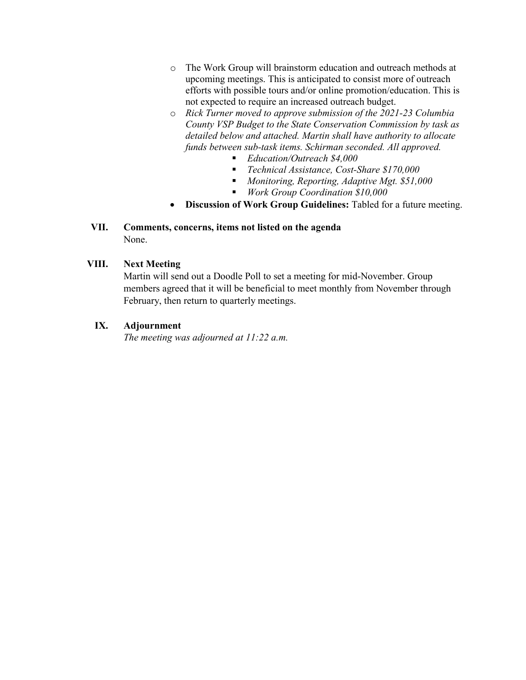- o The Work Group will brainstorm education and outreach methods at upcoming meetings. This is anticipated to consist more of outreach efforts with possible tours and/or online promotion/education. This is not expected to require an increased outreach budget.
- o *Rick Turner moved to approve submission of the 2021-23 Columbia County VSP Budget to the State Conservation Commission by task as detailed below and attached. Martin shall have authority to allocate funds between sub-task items. Schirman seconded. All approved.* 
	- *Education/Outreach \$4,000*
	- *Technical Assistance, Cost-Share \$170,000*
	- *Monitoring, Reporting, Adaptive Mgt. \$51,000*
	- *Work Group Coordination \$10,000*
- **Discussion of Work Group Guidelines:** Tabled for a future meeting.

## **VII. Comments, concerns, items not listed on the agenda**  None.

#### **VIII. Next Meeting**

Martin will send out a Doodle Poll to set a meeting for mid-November. Group members agreed that it will be beneficial to meet monthly from November through February, then return to quarterly meetings.

### **IX. Adjournment**

*The meeting was adjourned at 11:22 a.m.*